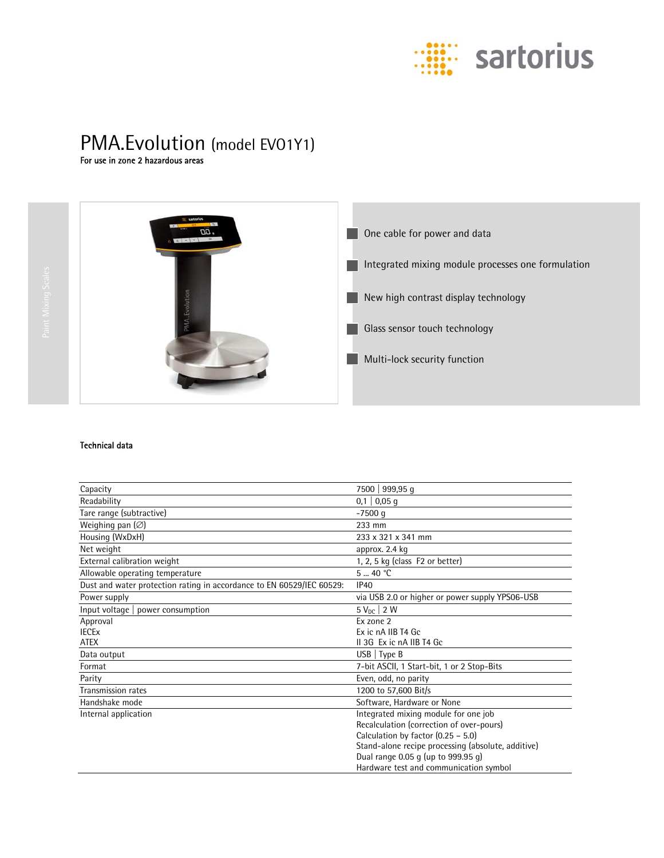

# PMA.Evolution (model EVO1Y1)<br>For use in zone 2 hazardous areas



### Technical data

| Capacity                                                              | 7500   999,95 q                                    |  |
|-----------------------------------------------------------------------|----------------------------------------------------|--|
| Readability                                                           | $0,1$   0,05 q                                     |  |
| Tare range (subtractive)                                              | $-7500$ q                                          |  |
| Weighing pan $(\varnothing)$                                          | 233 mm                                             |  |
| Housing (WxDxH)                                                       | 233 x 321 x 341 mm                                 |  |
| Net weight                                                            | approx. 2.4 kg                                     |  |
| External calibration weight                                           | 1, 2, 5 kg (class $F2$ or better)                  |  |
| Allowable operating temperature                                       | 540 °C                                             |  |
| Dust and water protection rating in accordance to EN 60529/IEC 60529: | IP40                                               |  |
| Power supply                                                          | via USB 2.0 or higher or power supply YPS06-USB    |  |
| Input voltage $ $ power consumption                                   | $5 V_{DC}$ 2 W                                     |  |
| Approval                                                              | Ex zone 2                                          |  |
| <b>IECE<sub>x</sub></b>                                               | Ex ic nA IIB T4 Gc                                 |  |
| <b>ATEX</b>                                                           | II 3G Ex ic nA IIB T4 Gc                           |  |
| Data output                                                           | $USB$   Type B                                     |  |
| Format                                                                | 7-bit ASCII, 1 Start-bit, 1 or 2 Stop-Bits         |  |
| Parity                                                                | Even, odd, no parity                               |  |
| Transmission rates                                                    | 1200 to 57,600 Bit/s                               |  |
| Handshake mode                                                        | Software, Hardware or None                         |  |
| Internal application                                                  | Integrated mixing module for one job               |  |
|                                                                       | Recalculation (correction of over-pours)           |  |
|                                                                       | Calculation by factor $(0.25 - 5.0)$               |  |
|                                                                       | Stand-alone recipe processing (absolute, additive) |  |
|                                                                       | Dual range 0.05 g (up to $999.95$ g)               |  |
|                                                                       | Hardware test and communication symbol             |  |